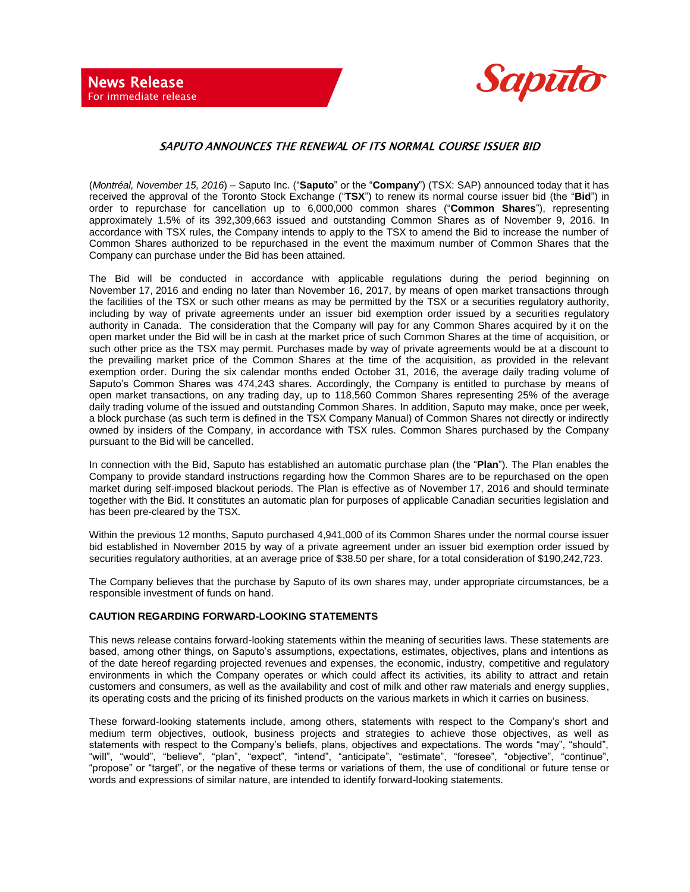

## SAPUTO ANNOUNCES THE RENEWAL OF ITS NORMAL COURSE ISSUER BID

(*Montréal, November 15, 2016*) – Saputo Inc. ("**Saputo**" or the "**Company**") (TSX: SAP) announced today that it has received the approval of the Toronto Stock Exchange ("**TSX**") to renew its normal course issuer bid (the "**Bid**") in order to repurchase for cancellation up to 6,000,000 common shares ("**Common Shares**"), representing approximately 1.5% of its 392,309,663 issued and outstanding Common Shares as of November 9, 2016. In accordance with TSX rules, the Company intends to apply to the TSX to amend the Bid to increase the number of Common Shares authorized to be repurchased in the event the maximum number of Common Shares that the Company can purchase under the Bid has been attained.

The Bid will be conducted in accordance with applicable regulations during the period beginning on November 17, 2016 and ending no later than November 16, 2017, by means of open market transactions through the facilities of the TSX or such other means as may be permitted by the TSX or a securities regulatory authority, including by way of private agreements under an issuer bid exemption order issued by a securities regulatory authority in Canada. The consideration that the Company will pay for any Common Shares acquired by it on the open market under the Bid will be in cash at the market price of such Common Shares at the time of acquisition, or such other price as the TSX may permit. Purchases made by way of private agreements would be at a discount to the prevailing market price of the Common Shares at the time of the acquisition, as provided in the relevant exemption order. During the six calendar months ended October 31, 2016, the average daily trading volume of Saputo's Common Shares was 474,243 shares. Accordingly, the Company is entitled to purchase by means of open market transactions, on any trading day, up to 118,560 Common Shares representing 25% of the average daily trading volume of the issued and outstanding Common Shares. In addition, Saputo may make, once per week, a block purchase (as such term is defined in the TSX Company Manual) of Common Shares not directly or indirectly owned by insiders of the Company, in accordance with TSX rules. Common Shares purchased by the Company pursuant to the Bid will be cancelled.

In connection with the Bid, Saputo has established an automatic purchase plan (the "**Plan**"). The Plan enables the Company to provide standard instructions regarding how the Common Shares are to be repurchased on the open market during self-imposed blackout periods. The Plan is effective as of November 17, 2016 and should terminate together with the Bid. It constitutes an automatic plan for purposes of applicable Canadian securities legislation and has been pre-cleared by the TSX.

Within the previous 12 months, Saputo purchased 4,941,000 of its Common Shares under the normal course issuer bid established in November 2015 by way of a private agreement under an issuer bid exemption order issued by securities regulatory authorities, at an average price of \$38.50 per share, for a total consideration of \$190,242,723.

The Company believes that the purchase by Saputo of its own shares may, under appropriate circumstances, be a responsible investment of funds on hand.

## **CAUTION REGARDING FORWARD-LOOKING STATEMENTS**

This news release contains forward-looking statements within the meaning of securities laws. These statements are based, among other things, on Saputo's assumptions, expectations, estimates, objectives, plans and intentions as of the date hereof regarding projected revenues and expenses, the economic, industry, competitive and regulatory environments in which the Company operates or which could affect its activities, its ability to attract and retain customers and consumers, as well as the availability and cost of milk and other raw materials and energy supplies, its operating costs and the pricing of its finished products on the various markets in which it carries on business.

These forward-looking statements include, among others, statements with respect to the Company's short and medium term objectives, outlook, business projects and strategies to achieve those objectives, as well as statements with respect to the Company's beliefs, plans, objectives and expectations. The words "may", "should", "will", "would", "believe", "plan", "expect", "intend", "anticipate", "estimate", "foresee", "objective", "continue", "propose" or "target", or the negative of these terms or variations of them, the use of conditional or future tense or words and expressions of similar nature, are intended to identify forward-looking statements.